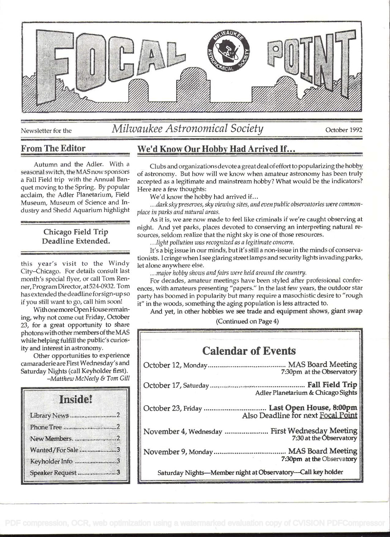

# Newsletter for the *Milwaukee Astronomical Society* October 1992

#### From The Editor

Autumn and the Adler. With a seasonal switch, the MAS now sponsors a Fall Field trip with the Annual Banquet moving to the Spring. By popular acclaim, the Adler Planetarium, Field Museum, Museum of Science and Industry and Shedd Aquarium highlight

#### Chicago Field Trip Deadline Extended.

this year's visit to the Windy City-Chicago. For details consult last month's special flyer, or call Tom Renner, Program Director, at524-0932. Tom has extended the deadline for sign-up so if you still want to go, call him soon!

Withone more Open House remaining, why not come out Friday, October 23, for a great opportunity to share photons with other members of the MAS while helping fulfill the public's curiosity and interest in astronomy.

Other opportunities to experience camaraderie are First Wednesday's and Saturday Nights (call Keyholder first). -Matthew McNeely & Tom Gill

# Inside! Library News .................................... 2 Phone Tree ............................................... 2 New Members. ..............................2 Wanted/For Sale ............................... 3 Keyholder Info ................................ 3 Speaker Request ............................... 3

# We'd Know Our Hobby Had Arrived If...

Clubs and organizations devote a great deal ofeffort to popularizing the hobby of astronomy. But how will we know when amateur astronomy has been truly accepted as a legitimate and mainstream hobby? What would be the indicators? Here are a few thoughts:

We'd know the hobby had arrived if...

. . . dark sky preserves, sky viewing sites, and even public observatories were commonplace in parks and natural areas.

As it is, we are now made to feel like criminals if we're caught observing at night. And yet parks, places devoted to conserving an interpreting natural resources, seldom realize that the night sky is one of those resources.

. . light pollution was recognized as a legitimate concern.

It's a big issue in our minds, but it's still a non-issue in the minds of conservationists. I cringe when I see glaring street lamps and security lights invading parks, let alone anywhere else.

... major hobby shows and fairs were held around the country.

For decades, amateur meetings have been styled after professional conferences, with amateurs presenting "papers." In the last few years, the outdoor star party has boomed in popularity but many require a masochistic desire to "rough it" in the woods, something the aging population is less attracted to.

And yet, in other hobbies we see trade and equipment shows, giant swap

(Continued on Page 4)

| <b>Calendar of Events</b>                                                         |
|-----------------------------------------------------------------------------------|
| 7:30pm at the Observatory                                                         |
| Adler Planetarium & Chicago Sights                                                |
| October 23, Friday  Last Open House, 8:00pm<br>Also Deadline for next Focal Point |
| November 4, Wednesday  First Wednesday Meeting<br>7:30 at the Observatory         |
| 7:30pm at the Observatory                                                         |
| Saturday Nights-Member night at Observatory-Call key holder                       |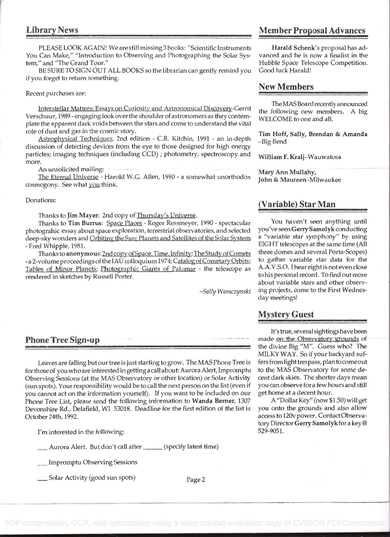PLEASE LOOK AGAIN! We are still missing 3 books: "Scientific Instruments Harald Schenk's proposal has ad-<br>Can Make," "Introduction to Observing and Photographing the Solar Sys- vanced and he is now a finalist in the You Can Make," "Introduction to Observing and Photographing the Solar System," and "The Grand Tour."

BE SURE TO SIGN OUT ALL BOOKS so the librarian can gently remind you if you forget to return something.

#### Recent purchases are:

Interstellar Matters: Essays on Curiosity and Astronomical Discoverv-Gerrit Verschuur, 1989 - engaging look over the shoulder of astronomers as they contemplate the apparent dark voids between the stars and come to understand the vital role of dust and gas in the cosmic story.

Astrophysical Techniques, 2nd edition - C.R. Kitchin, 1991 - an in-depth discussion of detecting devices from the eye to those designed for high energy particles; imaging techniques (including CCD) ; photometry, spectroscopy and more.

An unsolicited mailing:

The Eternal Universe - Harold W.G. Allen, 1990 - a somewhat unorthodox cosmogony. See what you think.

#### Donations:

Thanks to Jim Mayer: 2nd copy of Thursday's Universe.

Thanks to Tim Burrus: Space Places - Roger Ressmeyer, 1990 - spectacular photograhic essay about space exploration, terrestrial observatories, and selected deep-sky wonders and Orbiting the Sun: Planets and Satellites of the Solar System - Fred Whipple, 1981.

Thanks to anonymous: 2nd copy of Space, Time, Infinity; The Study of Comets -a 2-volume proceedings of the IAU colloquium 1974; Catalog of Cometary Orbits; Tables of Minor Planets; Photographic Giants of Palomar - the telescope as rendered in sketches by Russell Porter.

-Sally Waraczynski

#### Phone Tree Sign-up

Leaves are falling but our tree is just starting to grow. The MAS Phone Tree is for those of you who are interested in getting a call about: Aurora Alert, Impromptu Observing Sessions (at the MAS Observatory or other location) or Solar Activity (sun spots). Your responsibility would be to call the next person on the list (even if you cannot act on the information yourself). If you want to be included on our Phone Tree List, please send the following information to Wanda Berner, 1307 Devonshire Rd., Delafield, WI 53018. Deadline for the first edition of the list is October 24th, 1992.

I'm interested in the following:

Aurora Alert. But don't call after \_\_\_\_\_\_ (specify latest time)<br>\_\_\_ Impromptu Observing Sessions

Solar Activity (good sun spots) Page 2

## Library News Member Proposal Advances

Hubble Space Telescope Competition.<br>Good luck Harald!

#### New Members

The MASBoard recently announced the following new members. A big WELCOME to one and all.

Tim Hoff, Sally, Brendan & Amanda -Big Bend

William F. Kralj-Wauwatosa

Mary Ann Mullahy, John & Maureen-Milwaukee

#### (Variable) Star Man

You haven't seen anything until you've seen Gerry Samolyk conducting a "variable star symphony" by using EIGHT telescopes at the same time (All three domes and several Porta-Scopes) to gather variable star data for the A.A.V.S.O. I hear eight is not even close to his personal record. To find out more about variable stars and other observing projects, come to the First Wednesday meetings!

#### Mystery Guest

It's true, several sightings have been made on the Observatory grounds of the divine Big "M". Guess who? The MILKY WAY. So if your backyard suffers from light trespass, plan to come out to the MAS Observatory for some decent dark skies. The shorter days mean you can observe for a few hours and still get home at a decent hour.

A "Dollar Key" (now \$1 .50) will get you onto the grounds and also allow access to 120v power. Contact Observatory Director Gerry Samolykfor a key@ 529-9051.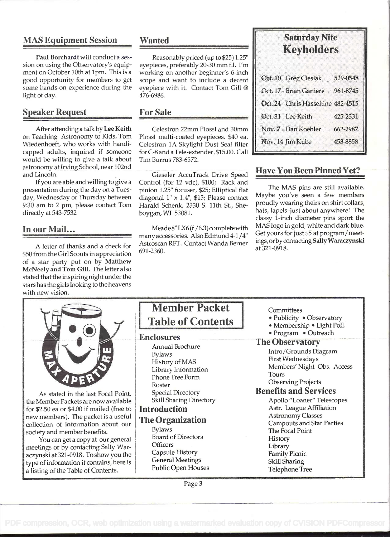# MAS Equipment Session

Paul Borchardt will conduct a session on using the Observatory's equipment on October 10th at 1pm. This is a good opportunity for members to get some hands-on experience during the light of day.

#### Speaker Request

After attending a talk by Lee Keith on Teaching Astronomy to Kids, Tom Wiedenhoeft, who works with handicapped adults, inquired if someone would be willing to give a talk about astronomy at Irving School, near 102nd and Lincoln.

If you are able and willing to give a presentation during the day on a Tuesday, Wednesday or Thursday between 9:30 am to 2 pm, please contact Tom directly at 543-7532

## In our Mail...

A letter of thanks and a check for \$50 from the Girl Scouts in appreciation of a star party put on by Matthew McNeely and Tom Gill. The letter also stated that the inspiring night under the stars has the girls looking to the heavens with new vision.

#### Wanted

Reasonably priced (up to \$25) 1.25" eyepieces, preferably 20-30 mm f.l. I'm working on another beginner's 6-inch scope and want to include a decent eyepiece with it. Contact Tom Gill @ 476-6986.

#### For Sale

Celestron 22mm Plossi and 30mm Plossi multi-coated eyepieces. \$40 ea. Celestron lA Skylight Dust Seal filter for C-8 and a Tele-extender, \$15.00. Call Tim Burrus 783-6572.

Gieseler AccuTrack Drive Speed Control (for 12 vdc), \$100; Rack and pinion 1.25" focuser, \$25; Elliptical flat diagonal 1" x 1.4", \$15; Please contact Harald Schenk, 2330 S. 11th St., Sheboygan,WI 53081.

Meade 8" LX6 (f /6.3) complete with many accessories. Also Edmund 4-1/4 Astroscan RFT. Contact Wanda Berner 691-2360.

# Saturday Nite Keyholders

| Oct. 10 Greg Cieslak              | 529-0548 |  |
|-----------------------------------|----------|--|
| Oct. 17 Brian Ganiere             | 961-8745 |  |
| Oct. 24 Chris Hasseltine 482-4515 |          |  |
| Oct. 31 Lee Keith                 | 425-2331 |  |
| Nov. 7 Dan Koehler                | 662-2987 |  |
| Nov. 14 Jim Kube                  | 453-8858 |  |
|                                   |          |  |

# Have You Been Pinned Yet?

The MAS pins are still available. Maybe you've seen a few members proudly wearing theirs on shirt collars, hats, lapels-just about anywhere! The classy 1-inch diameter pins sport the MAS logo in gold, white and dark blue. Get yours for just \$5 at program/meetings, orbycontacting Sally Waraczynski at 321-0918.



As stated in the last Focal Point, the Member Packets are now available for \$2.50 ea or \$4.00 if mailed (free to new members). The packet is a useful collection of information about our society and member benefits.

You can get a copy at our general meetings or by contacting Sally Waraczynski at321-0918. To show you the type of information it contains, here is a listing of the Table of Contents.

# Member Packet

#### Enclosures

Annual Brochure Bylaws History of MAS Library Information Phone Tree Form Roster Special Directory Skill Sharing Directory

## Introduction

# The Organization

Bylaws Board of Directors **Officers** Capsule History General Meetings Public Open Houses

#### **Committees**

- Publicity Observatory
- Membership Light Poll.
- Program Outreach

#### **The Observatory**

Intro/Grounds Diagram First Wednesdays Members' Night-Obs. Access Tours

#### Observing Projects Benefits and Services

Apollo "Loaner" Telescopes Astr. League Affiliation Astronomy Classes **Campouts and Star Parties** The Focal Point History Library Family Picnic Skill Sharing Telephone Tree